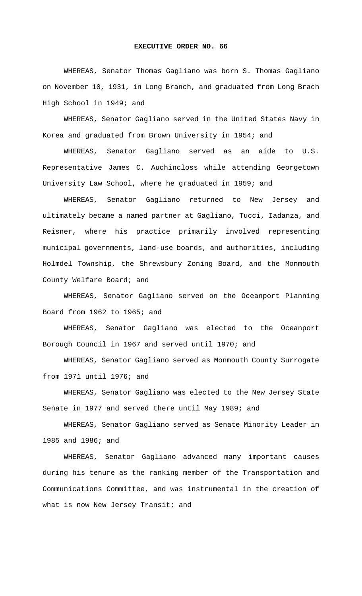## **EXECUTIVE ORDER NO. 66**

WHEREAS, Senator Thomas Gagliano was born S. Thomas Gagliano on November 10, 1931, in Long Branch, and graduated from Long Brach High School in 1949; and

WHEREAS, Senator Gagliano served in the United States Navy in Korea and graduated from Brown University in 1954; and

WHEREAS, Senator Gagliano served as an aide to U.S. Representative James C. Auchincloss while attending Georgetown University Law School, where he graduated in 1959; and

WHEREAS, Senator Gagliano returned to New Jersey and ultimately became a named partner at Gagliano, Tucci, Iadanza, and Reisner, where his practice primarily involved representing municipal governments, land-use boards, and authorities, including Holmdel Township, the Shrewsbury Zoning Board, and the Monmouth County Welfare Board; and

WHEREAS, Senator Gagliano served on the Oceanport Planning Board from 1962 to 1965; and

WHEREAS, Senator Gagliano was elected to the Oceanport Borough Council in 1967 and served until 1970; and

WHEREAS, Senator Gagliano served as Monmouth County Surrogate from 1971 until 1976; and

WHEREAS, Senator Gagliano was elected to the New Jersey State Senate in 1977 and served there until May 1989; and

WHEREAS, Senator Gagliano served as Senate Minority Leader in 1985 and 1986; and

WHEREAS, Senator Gagliano advanced many important causes during his tenure as the ranking member of the Transportation and Communications Committee, and was instrumental in the creation of what is now New Jersey Transit; and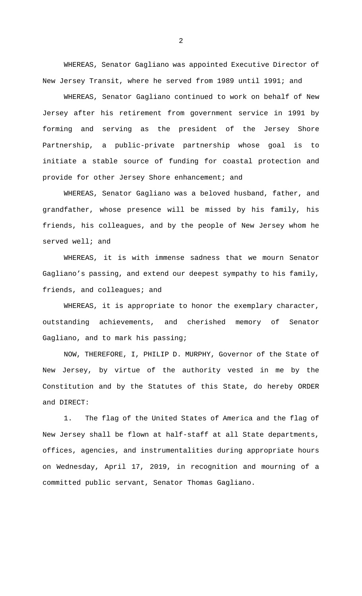WHEREAS, Senator Gagliano was appointed Executive Director of New Jersey Transit, where he served from 1989 until 1991; and

WHEREAS, Senator Gagliano continued to work on behalf of New Jersey after his retirement from government service in 1991 by forming and serving as the president of the Jersey Shore Partnership, a public-private partnership whose goal is to initiate a stable source of funding for coastal protection and provide for other Jersey Shore enhancement; and

WHEREAS, Senator Gagliano was a beloved husband, father, and grandfather, whose presence will be missed by his family, his friends, his colleagues, and by the people of New Jersey whom he served well; and

WHEREAS, it is with immense sadness that we mourn Senator Gagliano's passing, and extend our deepest sympathy to his family, friends, and colleagues; and

WHEREAS, it is appropriate to honor the exemplary character, outstanding achievements, and cherished memory of Senator Gagliano, and to mark his passing;

NOW, THEREFORE, I, PHILIP D. MURPHY, Governor of the State of New Jersey, by virtue of the authority vested in me by the Constitution and by the Statutes of this State, do hereby ORDER and DIRECT:

1. The flag of the United States of America and the flag of New Jersey shall be flown at half-staff at all State departments, offices, agencies, and instrumentalities during appropriate hours on Wednesday, April 17, 2019, in recognition and mourning of a committed public servant, Senator Thomas Gagliano.

2